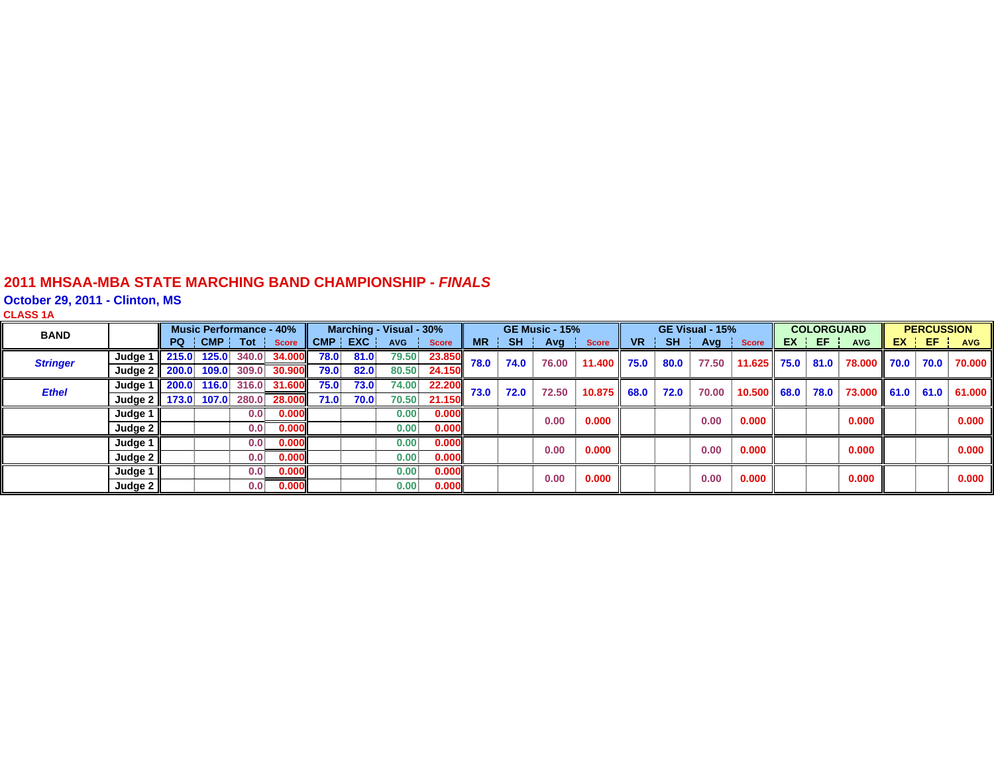#### **2011 MHSAA-MBA STATE MARCHING BAND CHAMPIONSHIP -** *FINAL S*

**October 29, 2011 - Clinton, MS CLASS 1 A**

| <b>BAND</b>     |                           | <b>Music Performance - 40%</b> |       |                  | Marching - Visual - 30% |         |      |            | <b>GE Music - 15%</b> |      |           | GE Visual - 15% |              |                | <b>COLORGUARD</b> |       |               | <b>PERCUSSION</b> |       |                  |  |         |            |
|-----------------|---------------------------|--------------------------------|-------|------------------|-------------------------|---------|------|------------|-----------------------|------|-----------|-----------------|--------------|----------------|-------------------|-------|---------------|-------------------|-------|------------------|--|---------|------------|
|                 |                           | PQ !                           | CMP ! | Tot              | <b>Score</b>            | CMP EXC |      | <b>AVG</b> | <b>Score</b>          | MR   | <b>SH</b> | Avg             | <b>Score</b> | V <sub>R</sub> | <b>SH</b>         |       | Avg Score     |                   | EX EF | <b>AVG</b>       |  | $EX$ EF | <b>AVG</b> |
| <b>Stringer</b> | Judge 1 $\parallel$ 215.0 |                                | 125.0 | 340.0            | 34.000                  | 78.0    | 81.0 | 79.50      | 23.850                | 78.0 | 74.0      | 76.00           | 11.400 l     | 75.0           | 80.0              | 77.50 | $11.625$ 75.0 |                   | 81.0  | 78.000 70.0      |  | 70.0    | 70.000     |
|                 | Judge $2 \parallel 200.0$ |                                | 109.0 | 309.0            | 30,900                  | 79.0    | 82.0 | 80.50      | 24.150                |      |           |                 |              |                |                   |       |               |                   |       |                  |  |         |            |
| <b>Ethel</b>    | Judge 1 $\vert$ 200.0     |                                | 116.0 | 316.0            | <b>31.600</b>           | 75.0    | 73.0 | 74.00      | 22.200                | 73.0 | 72.0      | 72.50           | 10.875       | 68.0           | 72.0              | 70.00 | 10.500 68.0   |                   | 78.0  | 73.000 61.0 61.0 |  |         | 61.000     |
|                 | Judge 2   173.0           |                                | 107.0 | 280.0            | 28.000                  | 71.0    | 70.0 | 70.50      | 21.150                |      |           |                 |              |                |                   |       |               |                   |       |                  |  |         |            |
|                 | Judge 1                   |                                |       | 0.0              | 0.000                   |         |      | 0.00.      | 0.000                 |      |           | 0.00            | 0.000        |                |                   | 0.00  | 0.000         |                   |       | 0.000            |  |         | 0.000      |
|                 | Judge $2 \parallel$       |                                |       | 0.0 <sub>1</sub> | 0.000                   |         |      | 0.00.      | 0.000                 |      |           |                 |              |                |                   |       |               |                   |       |                  |  |         |            |
|                 | Judge 1                   |                                |       | 0.0 <sub>1</sub> | 0.000                   |         |      | 0.00       | 0.000                 |      |           | 0.00            | 0.000        |                |                   | 0.00  | 0.000         |                   |       | 0.000            |  |         | 0.000      |
|                 | Judge $2 \parallel$       |                                |       | 0.0 <sub>1</sub> | 0.000                   |         |      | 0.00       | 0.000                 |      |           |                 |              |                |                   |       |               |                   |       |                  |  |         |            |
|                 | Judge $1 \mid$            |                                |       | 0.0              | 0.000                   |         |      | 0.00       | 0.000                 |      |           | 0.00            | 0.000        |                |                   | 0.00  | 0.000         |                   |       | 0.000            |  |         | 0.000      |
|                 | Judge $2 \parallel$       |                                |       | 0.0              | 0.000                   |         |      | 0.00       | 0.000                 |      |           |                 |              |                |                   |       |               |                   |       |                  |  |         |            |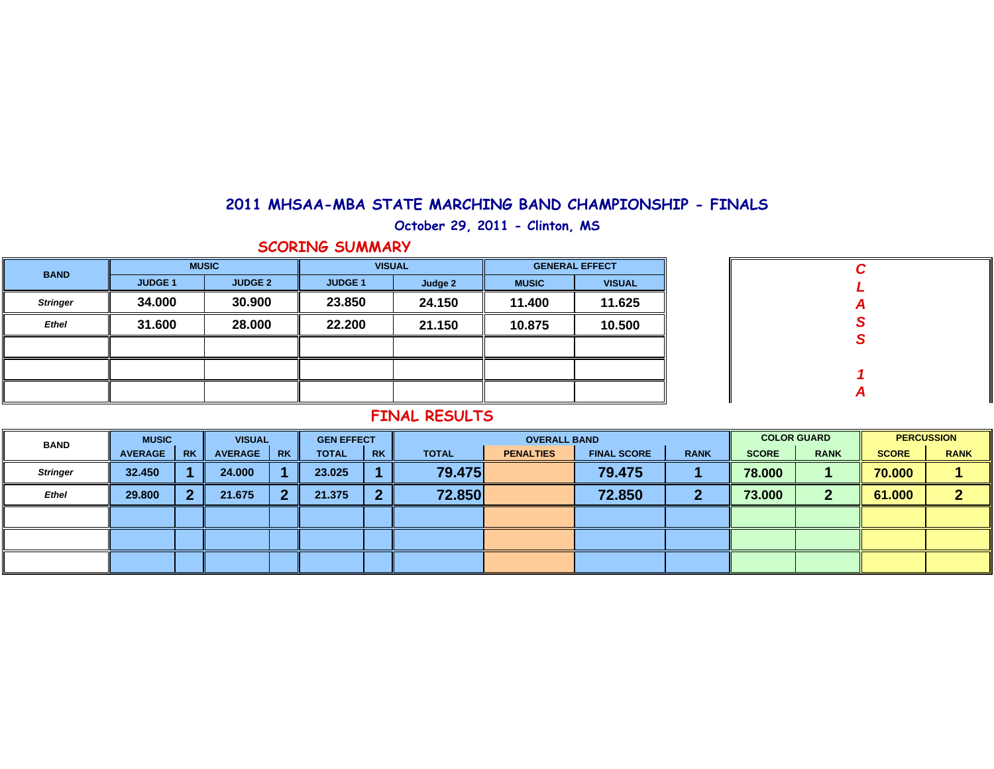### **2011 MHSAA-MBA STATE MARCHING BAND CHAMPIONSHIP - FINALS**

**October 29, 2011 - Clinton, MS**

#### **SCORING SUMMARY**

| <b>BAND</b>     | <b>MUSIC</b>   |                | <b>VISUAL</b>  |         | <b>GENERAL EFFECT</b> |               |  |  |
|-----------------|----------------|----------------|----------------|---------|-----------------------|---------------|--|--|
|                 | <b>JUDGE 1</b> | <b>JUDGE 2</b> | <b>JUDGE 1</b> | Judge 2 | <b>MUSIC</b>          | <b>VISUAL</b> |  |  |
| <b>Stringer</b> | 34.000         | 30.900         | 23.850         | 24.150  | 11.400                | 11.625        |  |  |
| <b>Ethel</b>    | 31.600         | 28.000         | 22.200         | 21.150  | 10.875                | 10.500        |  |  |
|                 |                |                |                |         |                       |               |  |  |
|                 |                |                |                |         |                       |               |  |  |
|                 |                |                |                |         |                       |               |  |  |

| $\mathbf c$ |  |
|-------------|--|
| L           |  |
|             |  |
| A<br>S<br>S |  |
|             |  |
|             |  |
| 1           |  |
| A           |  |

#### **FINAL RESULTS**

| <b>BAND</b>     | <b>MUSIC</b>   |           | <b>VISUAL</b>  |           | <b>GEN EFFECT</b> |           |              | <b>COLOR GUARD</b> |                    | <b>PERCUSSION</b> |              |             |              |             |
|-----------------|----------------|-----------|----------------|-----------|-------------------|-----------|--------------|--------------------|--------------------|-------------------|--------------|-------------|--------------|-------------|
|                 | <b>AVERAGE</b> | <b>RK</b> | <b>AVERAGE</b> | <b>RK</b> | <b>TOTAL</b>      | <b>RK</b> | <b>TOTAL</b> | <b>PENALTIES</b>   | <b>FINAL SCORE</b> | <b>RANK</b>       | <b>SCORE</b> | <b>RANK</b> | <b>SCORE</b> | <b>RANK</b> |
| <b>Stringer</b> | 32.450         |           | 24.000         |           | 23,025            |           | 79.475       |                    | 79.475             |                   | 78.000       |             | 70.000       |             |
| <b>Ethel</b>    | 29,800         | ົ         | 21.675         |           | 21.375            | ာ         | 72.850       |                    | 72.850             |                   | 73.000       | າ           | 61.000       |             |
|                 |                |           |                |           |                   |           |              |                    |                    |                   |              |             |              |             |
|                 |                |           |                |           |                   |           |              |                    |                    |                   |              |             |              |             |
|                 |                |           |                |           |                   |           |              |                    |                    |                   |              |             |              |             |